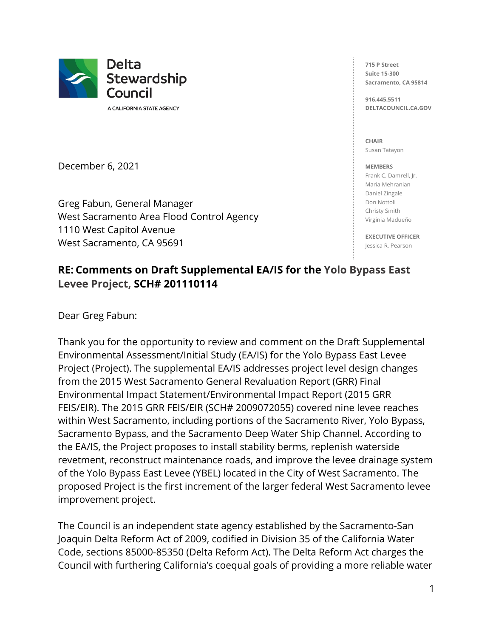

A CALIFORNIA STATE AGENCY

December 6, 2021

Greg Fabun, General Manager West Sacramento Area Flood Control Agency 1110 West Capitol Avenue West Sacramento, CA 95691

**715 P Street Suite 15-300 Sacramento, CA 95814**

**916.445.5511 DELTACOUNCIL.CA.GOV**

**CHAIR** Susan Tatayon

**MEMBERS**

Frank C. Damrell, Jr. Maria Mehranian Daniel Zingale Don Nottoli Christy Smith Virginia Madueño

**EXECUTIVE OFFICER** Jessica R. Pearson

# **RE: Comments on Draft Supplemental EA/IS for the Yolo Bypass East Levee Project, SCH# 201110114**

Dear Greg Fabun:

Thank you for the opportunity to review and comment on the Draft Supplemental Environmental Assessment/Initial Study (EA/IS) for the Yolo Bypass East Levee Project (Project). The supplemental EA/IS addresses project level design changes from the 2015 West Sacramento General Revaluation Report (GRR) Final Environmental Impact Statement/Environmental Impact Report (2015 GRR FEIS/EIR). The 2015 GRR FEIS/EIR (SCH# 2009072055) covered nine levee reaches within West Sacramento, including portions of the Sacramento River, Yolo Bypass, Sacramento Bypass, and the Sacramento Deep Water Ship Channel. According to the EA/IS, the Project proposes to install stability berms, replenish waterside revetment, reconstruct maintenance roads, and improve the levee drainage system of the Yolo Bypass East Levee (YBEL) located in the City of West Sacramento. The proposed Project is the first increment of the larger federal West Sacramento levee improvement project.

The Council is an independent state agency established by the Sacramento-San Joaquin Delta Reform Act of 2009, codified in Division 35 of the California Water Code, sections 85000-85350 (Delta Reform Act). The Delta Reform Act charges the Council with furthering California's coequal goals of providing a more reliable water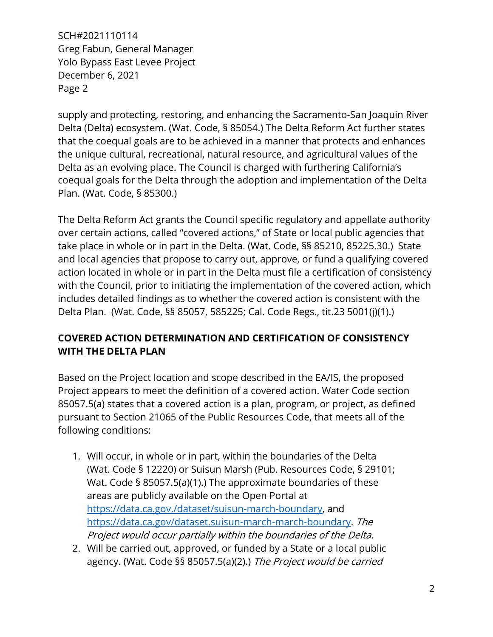supply and protecting, restoring, and enhancing the Sacramento-San Joaquin River Delta (Delta) ecosystem. (Wat. Code, § 85054.) The Delta Reform Act further states that the coequal goals are to be achieved in a manner that protects and enhances the unique cultural, recreational, natural resource, and agricultural values of the Delta as an evolving place. The Council is charged with furthering California's coequal goals for the Delta through the adoption and implementation of the Delta Plan. (Wat. Code, § 85300.)

The Delta Reform Act grants the Council specific regulatory and appellate authority over certain actions, called "covered actions," of State or local public agencies that take place in whole or in part in the Delta. (Wat. Code, §§ 85210, 85225.30.) State and local agencies that propose to carry out, approve, or fund a qualifying covered action located in whole or in part in the Delta must file a certification of consistency with the Council, prior to initiating the implementation of the covered action, which includes detailed findings as to whether the covered action is consistent with the Delta Plan. (Wat. Code, §§ 85057, 585225; Cal. Code Regs., tit.23 5001(j)(1).)

# **COVERED ACTION DETERMINATION AND CERTIFICATION OF CONSISTENCY WITH THE DELTA PLAN**

Based on the Project location and scope described in the EA/IS, the proposed Project appears to meet the definition of a covered action. Water Code section 85057.5(a) states that a covered action is a plan, program, or project, as defined pursuant to Section 21065 of the Public Resources Code, that meets all of the following conditions:

- 1. Will occur, in whole or in part, within the boundaries of the Delta (Wat. Code § 12220) or Suisun Marsh (Pub. Resources Code, § 29101; Wat. Code § 85057.5(a)(1).) The approximate boundaries of these areas are publicly available on the Open Portal at [https://data.ca.gov./dataset/suisun-march-boundary,](https://data.ca.gov./dataset/suisun-march-boundary) and [https://data.ca.gov/dataset.suisun-march-march-boundary.](https://data.ca.gov/dataset.suisun-march-march-boundary) The Project would occur partially within the boundaries of the Delta.
- 2. Will be carried out, approved, or funded by a State or a local public agency. (Wat. Code §§ 85057.5(a)(2).) The Project would be carried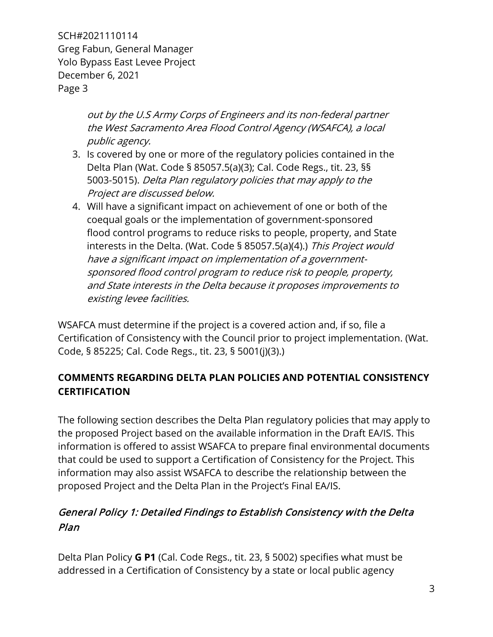> out by the U.S Army Corps of Engineers and its non-federal partner the West Sacramento Area Flood Control Agency (WSAFCA), a local public agency.

- 3. Is covered by one or more of the regulatory policies contained in the Delta Plan (Wat. Code § 85057.5(a)(3); Cal. Code Regs., tit. 23, §§ 5003-5015). Delta Plan regulatory policies that may apply to the Project are discussed below.
- 4. Will have a significant impact on achievement of one or both of the coequal goals or the implementation of government-sponsored flood control programs to reduce risks to people, property, and State interests in the Delta. (Wat. Code § 85057.5(a)(4).) This Project would have a significant impact on implementation of a governmentsponsored flood control program to reduce risk to people, property, and State interests in the Delta because it proposes improvements to existing levee facilities.

WSAFCA must determine if the project is a covered action and, if so, file a Certification of Consistency with the Council prior to project implementation. (Wat. Code, § 85225; Cal. Code Regs., tit. 23, § 5001(j)(3).)

# **COMMENTS REGARDING DELTA PLAN POLICIES AND POTENTIAL CONSISTENCY CERTIFICATION**

The following section describes the Delta Plan regulatory policies that may apply to the proposed Project based on the available information in the Draft EA/IS. This information is offered to assist WSAFCA to prepare final environmental documents that could be used to support a Certification of Consistency for the Project. This information may also assist WSAFCA to describe the relationship between the proposed Project and the Delta Plan in the Project's Final EA/IS.

# General Policy 1: Detailed Findings to Establish Consistency with the Delta Plan

Delta Plan Policy **G P1** (Cal. Code Regs., tit. 23, § 5002) specifies what must be addressed in a Certification of Consistency by a state or local public agency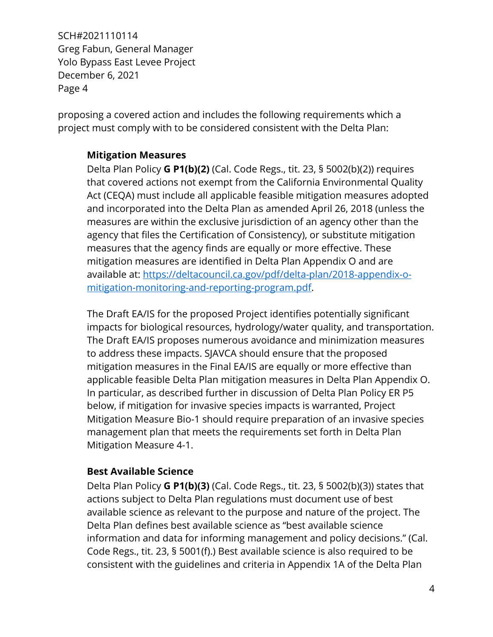proposing a covered action and includes the following requirements which a project must comply with to be considered consistent with the Delta Plan:

#### **Mitigation Measures**

Delta Plan Policy **G P1(b)(2)** (Cal. Code Regs., tit. 23, § 5002(b)(2)) requires that covered actions not exempt from the California Environmental Quality Act (CEQA) must include all applicable feasible mitigation measures adopted and incorporated into the Delta Plan as amended April 26, 2018 (unless the measures are within the exclusive jurisdiction of an agency other than the agency that files the Certification of Consistency), or substitute mitigation measures that the agency finds are equally or more effective. These mitigation measures are identified in Delta Plan Appendix O and are available at: [https://deltacouncil.ca.gov/pdf/delta-plan/2018-appendix-o](https://deltacouncil.ca.gov/pdf/delta-plan/2018-appendix-o-mitigation-monitoring-and-reporting-program.pdf)[mitigation-monitoring-and-reporting-program.pdf.](https://deltacouncil.ca.gov/pdf/delta-plan/2018-appendix-o-mitigation-monitoring-and-reporting-program.pdf)

The Draft EA/IS for the proposed Project identifies potentially significant impacts for biological resources, hydrology/water quality, and transportation. The Draft EA/IS proposes numerous avoidance and minimization measures to address these impacts. SJAVCA should ensure that the proposed mitigation measures in the Final EA/IS are equally or more effective than applicable feasible Delta Plan mitigation measures in Delta Plan Appendix O. In particular, as described further in discussion of Delta Plan Policy ER P5 below, if mitigation for invasive species impacts is warranted, Project Mitigation Measure Bio-1 should require preparation of an invasive species management plan that meets the requirements set forth in Delta Plan Mitigation Measure 4-1.

#### **Best Available Science**

Delta Plan Policy **G P1(b)(3)** (Cal. Code Regs., tit. 23, § 5002(b)(3)) states that actions subject to Delta Plan regulations must document use of best available science as relevant to the purpose and nature of the project. The Delta Plan defines best available science as "best available science information and data for informing management and policy decisions." (Cal. Code Regs., tit. 23, § 5001(f).) Best available science is also required to be consistent with the guidelines and criteria in Appendix 1A of the Delta Plan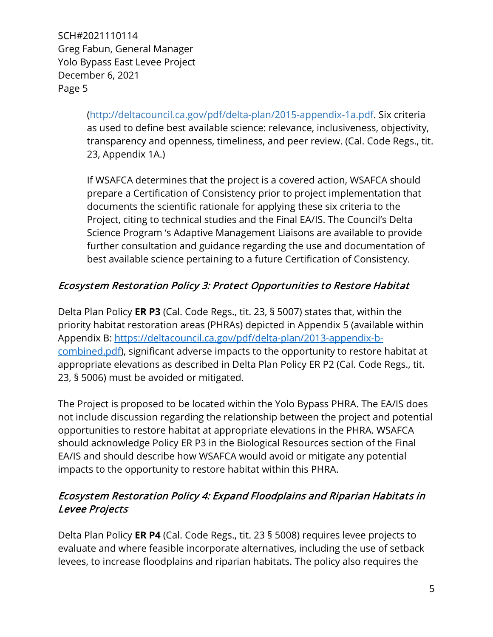> [\(http://deltacouncil.ca.gov/pdf/delta-plan/2015-appendix-1a.pdf.](http://deltacouncil.ca.gov/pdf/delta-plan/2015-appendix-1a.pdf) Six criteria as used to define best available science: relevance, inclusiveness, objectivity, transparency and openness, timeliness, and peer review. (Cal. Code Regs., tit. 23, Appendix 1A.)

If WSAFCA determines that the project is a covered action, WSAFCA should prepare a Certification of Consistency prior to project implementation that documents the scientific rationale for applying these six criteria to the Project, citing to technical studies and the Final EA/IS. The Council's Delta Science Program 's Adaptive Management Liaisons are available to provide further consultation and guidance regarding the use and documentation of best available science pertaining to a future Certification of Consistency.

# Ecosystem Restoration Policy 3: Protect Opportunities to Restore Habitat

Delta Plan Policy **ER P3** (Cal. Code Regs., tit. 23, § 5007) states that, within the priority habitat restoration areas (PHRAs) depicted in Appendix 5 (available within Appendix B: [https://deltacouncil.ca.gov/pdf/delta-plan/2013-appendix-b](https://deltacouncil.ca.gov/pdf/delta-plan/2013-appendix-b-combined.pdf)[combined.pdf\)](https://deltacouncil.ca.gov/pdf/delta-plan/2013-appendix-b-combined.pdf), significant adverse impacts to the opportunity to restore habitat at appropriate elevations as described in Delta Plan Policy ER P2 (Cal. Code Regs., tit. 23, § 5006) must be avoided or mitigated.

The Project is proposed to be located within the Yolo Bypass PHRA. The EA/IS does not include discussion regarding the relationship between the project and potential opportunities to restore habitat at appropriate elevations in the PHRA. WSAFCA should acknowledge Policy ER P3 in the Biological Resources section of the Final EA/IS and should describe how WSAFCA would avoid or mitigate any potential impacts to the opportunity to restore habitat within this PHRA.

#### Ecosystem Restoration Policy 4: Expand Floodplains and Riparian Habitats in Levee Projects

Delta Plan Policy **ER P4** (Cal. Code Regs., tit. 23 § 5008) requires levee projects to evaluate and where feasible incorporate alternatives, including the use of setback levees, to increase floodplains and riparian habitats. The policy also requires the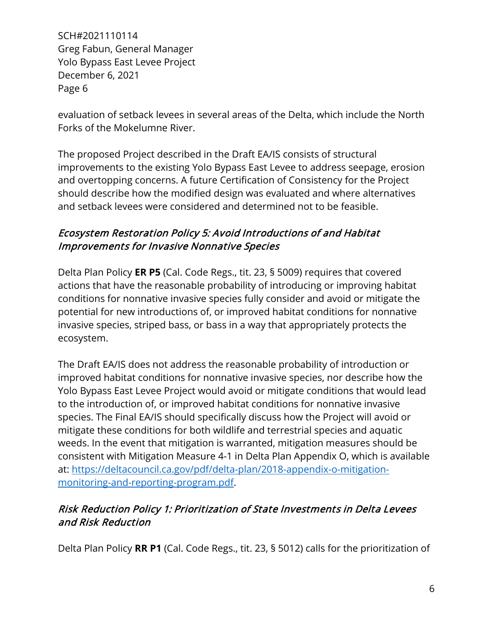evaluation of setback levees in several areas of the Delta, which include the North Forks of the Mokelumne River.

The proposed Project described in the Draft EA/IS consists of structural improvements to the existing Yolo Bypass East Levee to address seepage, erosion and overtopping concerns. A future Certification of Consistency for the Project should describe how the modified design was evaluated and where alternatives and setback levees were considered and determined not to be feasible.

# Ecosystem Restoration Policy 5: Avoid Introductions of and Habitat Improvements for Invasive Nonnative Species

Delta Plan Policy **ER P5** (Cal. Code Regs., tit. 23, § 5009) requires that covered actions that have the reasonable probability of introducing or improving habitat conditions for nonnative invasive species fully consider and avoid or mitigate the potential for new introductions of, or improved habitat conditions for nonnative invasive species, striped bass, or bass in a way that appropriately protects the ecosystem.

The Draft EA/IS does not address the reasonable probability of introduction or improved habitat conditions for nonnative invasive species, nor describe how the Yolo Bypass East Levee Project would avoid or mitigate conditions that would lead to the introduction of, or improved habitat conditions for nonnative invasive species. The Final EA/IS should specifically discuss how the Project will avoid or mitigate these conditions for both wildlife and terrestrial species and aquatic weeds. In the event that mitigation is warranted, mitigation measures should be consistent with Mitigation Measure 4-1 in Delta Plan Appendix O, which is available at: [https://deltacouncil.ca.gov/pdf/delta-plan/2018-appendix-o-mitigation](https://deltacouncil.ca.gov/pdf/delta-plan/2018-appendix-o-mitigation-monitoring-and-reporting-program.pdf)[monitoring-and-reporting-program.pdf.](https://deltacouncil.ca.gov/pdf/delta-plan/2018-appendix-o-mitigation-monitoring-and-reporting-program.pdf)

# Risk Reduction Policy 1: Prioritization of State Investments in Delta Levees and Risk Reduction

Delta Plan Policy **RR P1** (Cal. Code Regs., tit. 23, § 5012) calls for the prioritization of